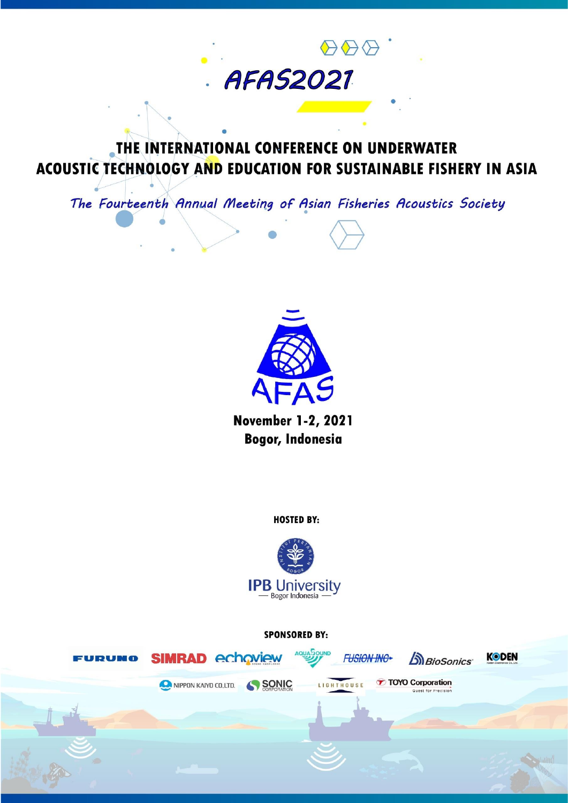# THE INTERNATIONAL CONFERENCE ON UNDERWATER ACOUSTIC TECHNOLOGY AND EDUCATION FOR SUSTAINABLE FISHERY IN ASIA

**AFAS2021** 

 $\bigoplus \bigoplus \bigoplus$ 

The Fourteenth Annual Meeting of Asian Fisheries Acoustics Society



**November 1-2, 2021 Bogor, Indonesia** 

**HOSTED BY:** 



**SPONSORED BY:** 

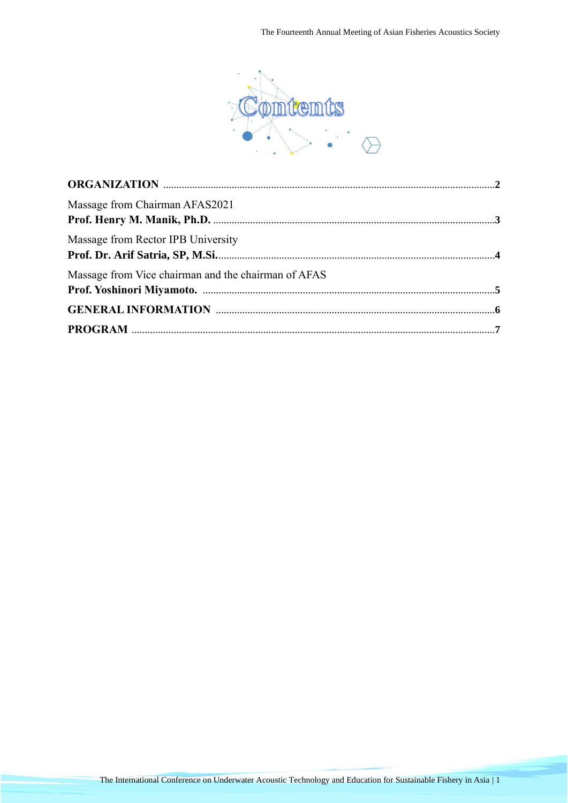

| Massage from Chairman AFAS2021                      |  |
|-----------------------------------------------------|--|
| Massage from Rector IPB University                  |  |
| Massage from Vice chairman and the chairman of AFAS |  |
|                                                     |  |
|                                                     |  |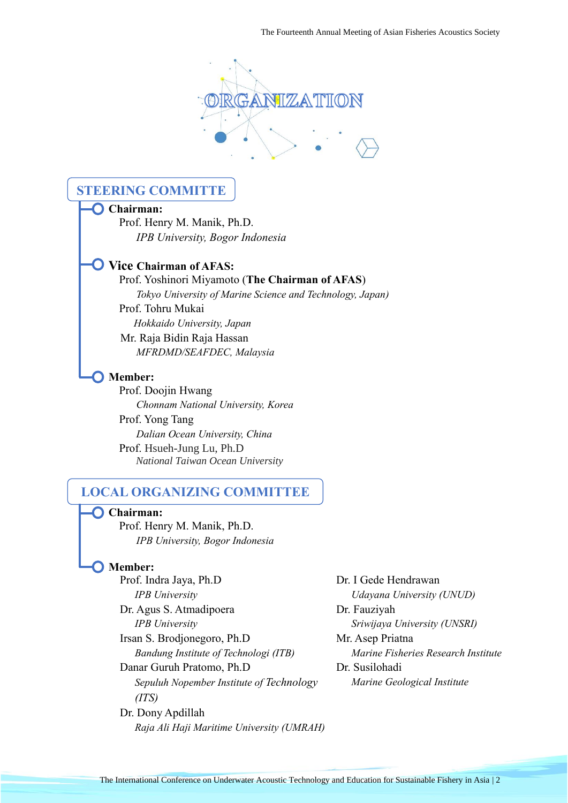

# **STEERING COMMITTE**

#### **Chairman:**

 Prof. Henry M. Manik, Ph.D. *IPB University, Bogor Indonesia*

# **Vice Chairman of AFAS:**

### Prof. Yoshinori Miyamoto (**The Chairman of AFAS**)

 *Tokyo University of Marine Science and Technology, Japan)* Prof. Tohru Mukai

 *Hokkaido University, Japan*

 Mr. Raja Bidin Raja Hassan *MFRDMD/SEAFDEC, Malaysia*

#### **O** Member:

 Prof. Doojin Hwang *Chonnam National University, Korea* Prof. Yong Tang *Dalian Ocean University, China* Prof. Hsueh-Jung Lu, Ph.D  *National Taiwan Ocean University*

# **LOCAL ORGANIZING COMMITTEE**

 **Chairman:**  Prof. Henry M. Manik, Ph.D. *IPB University, Bogor Indonesia*

#### **Member:**

Prof. Indra Jaya, Ph.D Dr. I Gede Hendrawan *IPB University Udayana University (UNUD)* Dr. Agus S. Atmadipoera Dr. Fauziyah *IPB University Sriwijaya University (UNSRI)* Irsan S. Brodjonegoro, Ph.D Mr. Asep Priatna *Bandung Institute of Technologi (ITB) Marine Fisheries Research Institute* Danar Guruh Pratomo, Ph.D Dr. Susilohadi *Sepuluh Nopember Institute of Technology (ITS)* Dr. Dony Apdillah

*Raja Ali Haji Maritime University (UMRAH)*

*Marine Geological Institute*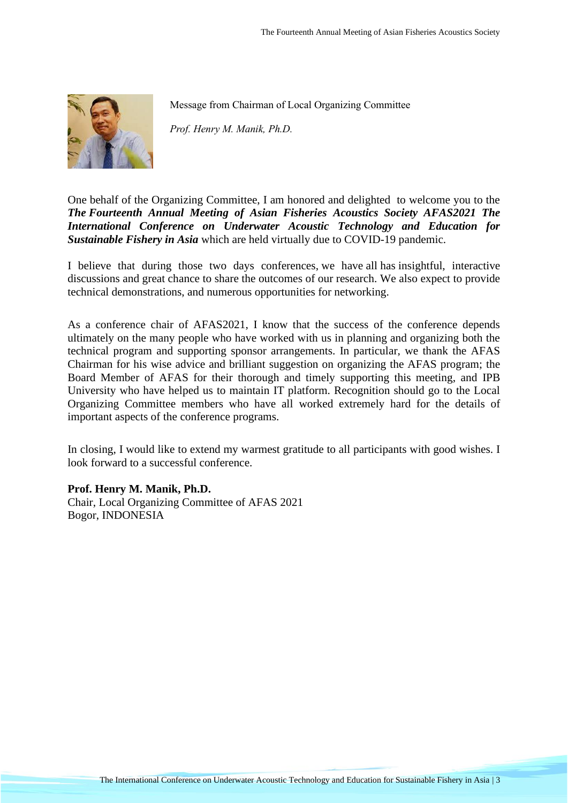

Message from Chairman of Local Organizing Committee

*Prof. Henry M. Manik, Ph.D.*

One behalf of the Organizing Committee, I am honored and delighted to welcome you to the *The Fourteenth Annual Meeting of Asian Fisheries Acoustics Society AFAS2021 The International Conference on Underwater Acoustic Technology and Education for Sustainable Fishery in Asia* which are held virtually due to COVID-19 pandemic.

I believe that during those two days conferences, we have all has insightful, interactive discussions and great chance to share the outcomes of our research. We also expect to provide technical demonstrations, and numerous opportunities for networking.

As a conference chair of AFAS2021, I know that the success of the conference depends ultimately on the many people who have worked with us in planning and organizing both the technical program and supporting sponsor arrangements. In particular, we thank the AFAS Chairman for his wise advice and brilliant suggestion on organizing the AFAS program; the Board Member of AFAS for their thorough and timely supporting this meeting, and IPB University who have helped us to maintain IT platform. Recognition should go to the Local Organizing Committee members who have all worked extremely hard for the details of important aspects of the conference programs.

In closing, I would like to extend my warmest gratitude to all participants with good wishes. I look forward to a successful conference.

**Prof. Henry M. Manik, Ph.D.** Chair, Local Organizing Committee of AFAS 2021 Bogor, INDONESIA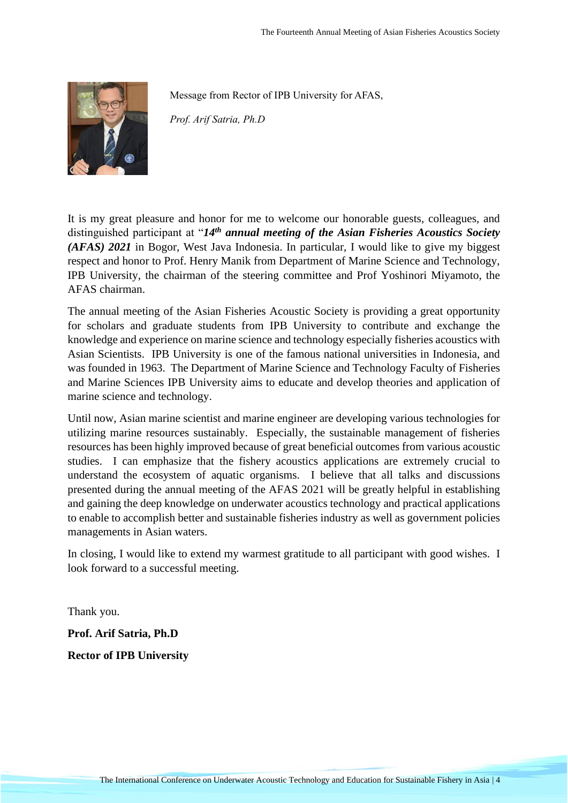

Message from Rector of IPB University for AFAS,

*Prof. Arif Satria, Ph.D*

It is my great pleasure and honor for me to welcome our honorable guests, colleagues, and distinguished participant at "*14th annual meeting of the Asian Fisheries Acoustics Society (AFAS) 2021* in Bogor, West Java Indonesia. In particular, I would like to give my biggest respect and honor to Prof. Henry Manik from Department of Marine Science and Technology, IPB University, the chairman of the steering committee and Prof Yoshinori Miyamoto, the AFAS chairman.

The annual meeting of the Asian Fisheries Acoustic Society is providing a great opportunity for scholars and graduate students from IPB University to contribute and exchange the knowledge and experience on marine science and technology especially fisheries acoustics with Asian Scientists. IPB University is one of the famous national universities in Indonesia, and was founded in 1963. The Department of Marine Science and Technology Faculty of Fisheries and Marine Sciences IPB University aims to educate and develop theories and application of marine science and technology.

Until now, Asian marine scientist and marine engineer are developing various technologies for utilizing marine resources sustainably. Especially, the sustainable management of fisheries resources has been highly improved because of great beneficial outcomes from various acoustic studies. I can emphasize that the fishery acoustics applications are extremely crucial to understand the ecosystem of aquatic organisms. I believe that all talks and discussions presented during the annual meeting of the AFAS 2021 will be greatly helpful in establishing and gaining the deep knowledge on underwater acoustics technology and practical applications to enable to accomplish better and sustainable fisheries industry as well as government policies managements in Asian waters.

In closing, I would like to extend my warmest gratitude to all participant with good wishes. I look forward to a successful meeting.

Thank you.

**Prof. Arif Satria, Ph.D**

**Rector of IPB University**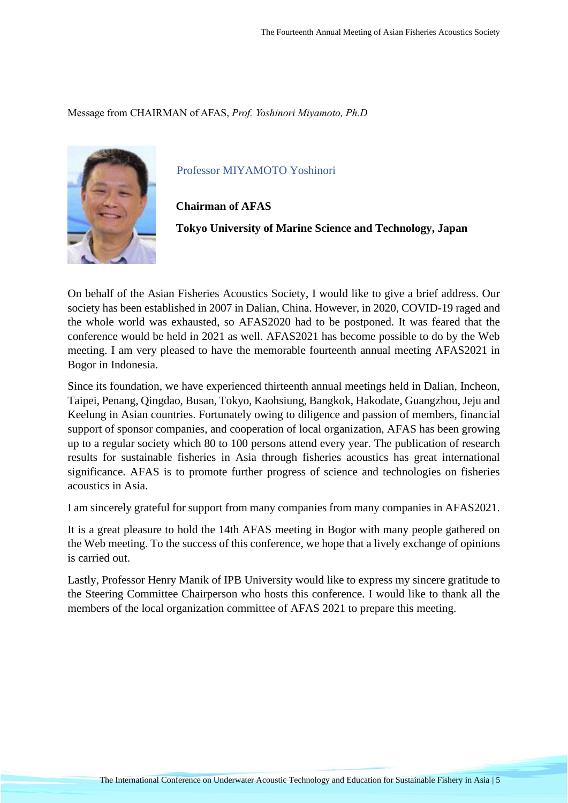Message from CHAIRMAN of AFAS, *Prof. Yoshinori Miyamoto, Ph.D*



Professor MIYAMOTO Yoshinori

**Chairman of AFAS**

**Tokyo University of Marine Science and Technology, Japan**

On behalf of the Asian Fisheries Acoustics Society, I would like to give a brief address. Our society has been established in 2007 in Dalian, China. However, in 2020, COVID-19 raged and the whole world was exhausted, so AFAS2020 had to be postponed. It was feared that the conference would be held in 2021 as well. AFAS2021 has become possible to do by the Web meeting. I am very pleased to have the memorable fourteenth annual meeting AFAS2021 in Bogor in Indonesia.

Since its foundation, we have experienced thirteenth annual meetings held in Dalian, Incheon, Taipei, Penang, Qingdao, Busan, Tokyo, Kaohsiung, Bangkok, Hakodate, Guangzhou, Jeju and Keelung in Asian countries. Fortunately owing to diligence and passion of members, financial support of sponsor companies, and cooperation of local organization, AFAS has been growing up to a regular society which 80 to 100 persons attend every year. The publication of research results for sustainable fisheries in Asia through fisheries acoustics has great international significance. AFAS is to promote further progress of science and technologies on fisheries acoustics in Asia.

I am sincerely grateful for support from many companies from many companies in AFAS2021.

It is a great pleasure to hold the 14th AFAS meeting in Bogor with many people gathered on the Web meeting. To the success of this conference, we hope that a lively exchange of opinions is carried out.

Lastly, Professor Henry Manik of IPB University would like to express my sincere gratitude to the Steering Committee Chairperson who hosts this conference. I would like to thank all the members of the local organization committee of AFAS 2021 to prepare this meeting.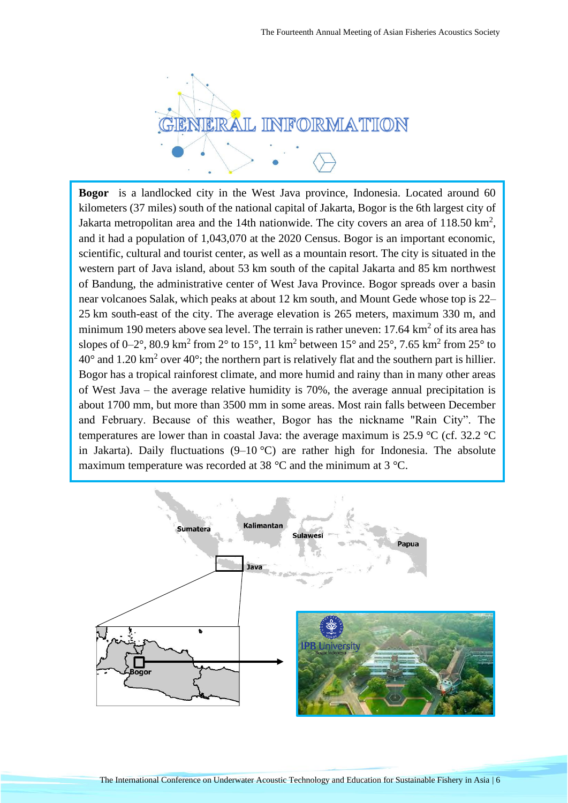

**Bogor** is a landlocked [city](https://en.wikipedia.org/wiki/Cities_of_Indonesia) in the [West Java](https://en.wikipedia.org/wiki/West_Java) [province,](https://en.wikipedia.org/wiki/Provinces_of_Indonesia) [Indonesia.](https://en.wikipedia.org/wiki/Indonesia) Located around 60 kilometers (37 miles) south of the national capital of [Jakarta,](https://en.wikipedia.org/wiki/Jakarta) Bogor is the 6th largest city of [Jakarta metropolitan area](https://en.wikipedia.org/wiki/Jakarta_metropolitan_area) and the 14th nationwide. The city covers an area of  $118.50 \text{ km}^2$ , and it had a population of 1,043,070 at the 2020 Census. Bogor is an important economic, scientific, cultural and tourist center, as well as a mountain resort. The city is situated in the western part of [Java](https://en.wikipedia.org/wiki/Java) island, about 53 km south of the capital [Jakarta](https://en.wikipedia.org/wiki/Jakarta) and 85 km northwest of [Bandung,](https://en.wikipedia.org/wiki/Bandung) the administrative center of West Java Province. Bogor spreads over a [basin](https://en.wikipedia.org/wiki/Structural_basin) near volcanoes Salak, which peaks at about 12 km south, and [Mount Gede](https://en.wikipedia.org/wiki/Mount_Gede) whose top is 22– 25 km south-east of the city. The average elevation is 265 meters, maximum 330 m, and minimum 190 meters above sea level. The terrain is rather uneven:  $17.64 \text{ km}^2$  of its area has slopes of 0–2°, 80.9 km<sup>2</sup> from 2° to 15°, 11 km<sup>2</sup> between 15° and 25°, 7.65 km<sup>2</sup> from 25° to  $40^{\circ}$  and 1.20 km<sup>2</sup> over  $40^{\circ}$ ; the northern part is relatively flat and the southern part is hillier. Bogor has a [tropical rainforest climate,](https://en.wikipedia.org/wiki/Tropical_rainforest_climate) and more humid and rainy than in many other areas of West Java – the average [relative humidity](https://en.wikipedia.org/wiki/Relative_humidity) is 70%, the average annual precipitation is about 1700 mm, but more than 3500 mm in some areas. Most rain falls between December and February. Because of this weather, Bogor has the nickname "Rain City". The temperatures are lower than in coastal Java: the average maximum is 25.9  $\rm{°C}$  (cf. 32.2  $\rm{°C}$ ) in Jakarta). Daily fluctuations  $(9-10 \degree C)$  are rather high for Indonesia. The absolute maximum temperature was recorded at 38 °C and the minimum at 3 °C.

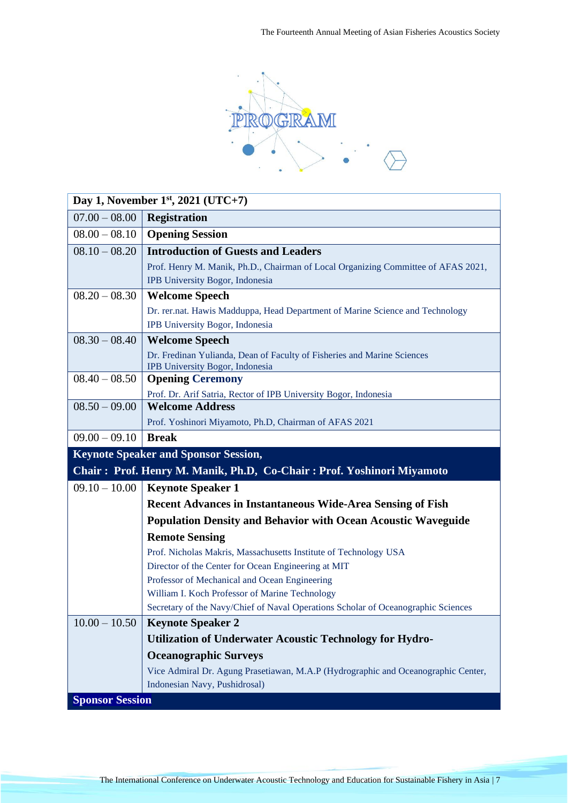

| Day 1, November $1st$ , 2021 (UTC+7)                                  |                                                                                                            |
|-----------------------------------------------------------------------|------------------------------------------------------------------------------------------------------------|
| $07.00 - 08.00$                                                       | <b>Registration</b>                                                                                        |
| $08.00 - 08.10$                                                       | <b>Opening Session</b>                                                                                     |
| $08.10 - 08.20$                                                       | <b>Introduction of Guests and Leaders</b>                                                                  |
|                                                                       | Prof. Henry M. Manik, Ph.D., Chairman of Local Organizing Committee of AFAS 2021,                          |
|                                                                       | IPB University Bogor, Indonesia                                                                            |
| $08.20 - 08.30$                                                       | <b>Welcome Speech</b>                                                                                      |
|                                                                       | Dr. rer.nat. Hawis Madduppa, Head Department of Marine Science and Technology                              |
|                                                                       | IPB University Bogor, Indonesia                                                                            |
| $08.30 - 08.40$                                                       | <b>Welcome Speech</b>                                                                                      |
|                                                                       | Dr. Fredinan Yulianda, Dean of Faculty of Fisheries and Marine Sciences<br>IPB University Bogor, Indonesia |
| $08.40 - 08.50$                                                       | <b>Opening Ceremony</b>                                                                                    |
|                                                                       | Prof. Dr. Arif Satria, Rector of IPB University Bogor, Indonesia                                           |
| $08.50 - 09.00$                                                       | <b>Welcome Address</b>                                                                                     |
|                                                                       | Prof. Yoshinori Miyamoto, Ph.D, Chairman of AFAS 2021                                                      |
| $09.00 - 09.10$                                                       | <b>Break</b>                                                                                               |
|                                                                       | <b>Keynote Speaker and Sponsor Session,</b>                                                                |
| Chair: Prof. Henry M. Manik, Ph.D, Co-Chair: Prof. Yoshinori Miyamoto |                                                                                                            |
| $09.10 - 10.00$                                                       | <b>Keynote Speaker 1</b>                                                                                   |
|                                                                       | <b>Recent Advances in Instantaneous Wide-Area Sensing of Fish</b>                                          |
|                                                                       | <b>Population Density and Behavior with Ocean Acoustic Waveguide</b>                                       |
|                                                                       | <b>Remote Sensing</b>                                                                                      |
|                                                                       | Prof. Nicholas Makris, Massachusetts Institute of Technology USA                                           |
|                                                                       | Director of the Center for Ocean Engineering at MIT                                                        |
|                                                                       | Professor of Mechanical and Ocean Engineering                                                              |
|                                                                       | William I. Koch Professor of Marine Technology                                                             |
|                                                                       | Secretary of the Navy/Chief of Naval Operations Scholar of Oceanographic Sciences                          |
| $10.00 - 10.50$                                                       | <b>Keynote Speaker 2</b>                                                                                   |
|                                                                       | Utilization of Underwater Acoustic Technology for Hydro-                                                   |
|                                                                       | <b>Oceanographic Surveys</b>                                                                               |
|                                                                       | Vice Admiral Dr. Agung Prasetiawan, M.A.P (Hydrographic and Oceanographic Center,                          |
|                                                                       |                                                                                                            |
| <b>Sponsor Session</b>                                                | Indonesian Navy, Pushidrosal)                                                                              |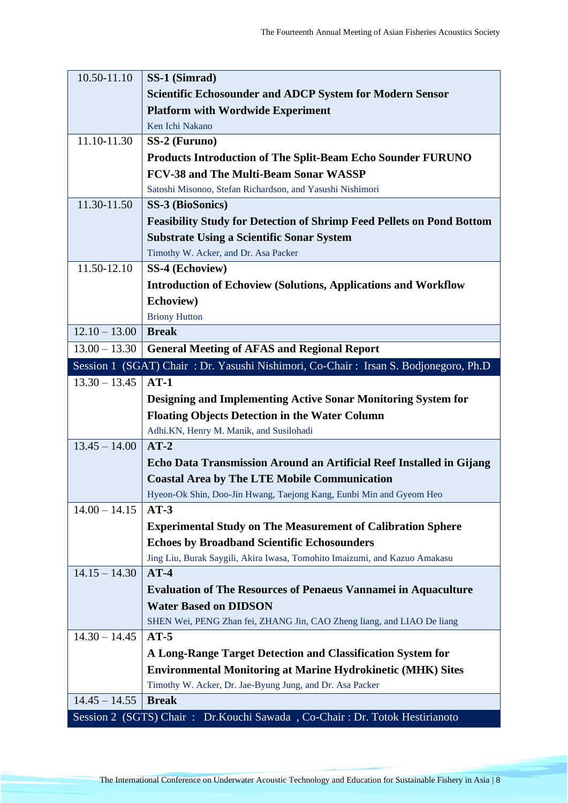| 10.50-11.10     | SS-1 (Simrad)                                                                              |
|-----------------|--------------------------------------------------------------------------------------------|
|                 | <b>Scientific Echosounder and ADCP System for Modern Sensor</b>                            |
|                 | <b>Platform with Wordwide Experiment</b>                                                   |
|                 | Ken Ichi Nakano                                                                            |
| 11.10-11.30     | SS-2 (Furuno)                                                                              |
|                 | <b>Products Introduction of The Split-Beam Echo Sounder FURUNO</b>                         |
|                 | <b>FCV-38 and The Multi-Beam Sonar WASSP</b>                                               |
|                 | Satoshi Misonoo, Stefan Richardson, and Yasushi Nishimori                                  |
| 11.30-11.50     | SS-3 (BioSonics)                                                                           |
|                 | <b>Feasibility Study for Detection of Shrimp Feed Pellets on Pond Bottom</b>               |
|                 | <b>Substrate Using a Scientific Sonar System</b>                                           |
|                 | Timothy W. Acker, and Dr. Asa Packer                                                       |
| 11.50-12.10     | SS-4 (Echoview)                                                                            |
|                 | <b>Introduction of Echoview (Solutions, Applications and Workflow</b>                      |
|                 | Echoview)                                                                                  |
|                 | <b>Briony Hutton</b>                                                                       |
| $12.10 - 13.00$ | <b>Break</b>                                                                               |
| $13.00 - 13.30$ | <b>General Meeting of AFAS and Regional Report</b>                                         |
|                 | Session 1 (SGAT) Chair: Dr. Yasushi Nishimori, Co-Chair: Irsan S. Bodjonegoro, Ph.D        |
| $13.30 - 13.45$ | $AT-1$                                                                                     |
|                 | Designing and Implementing Active Sonar Monitoring System for                              |
|                 | <b>Floating Objects Detection in the Water Column</b>                                      |
|                 | Adhi.KN, Henry M. Manik, and Susilohadi                                                    |
| $13.45 - 14.00$ | $AT-2$                                                                                     |
|                 | Echo Data Transmission Around an Artificial Reef Installed in Gijang                       |
|                 | <b>Coastal Area by The LTE Mobile Communication</b>                                        |
|                 | Hyeon-Ok Shin, Doo-Jin Hwang, Taejong Kang, Eunbi Min and Gyeom Heo                        |
| $14.00 - 14.15$ | $AT-3$                                                                                     |
|                 | <b>Experimental Study on The Measurement of Calibration Sphere</b>                         |
|                 | <b>Echoes by Broadband Scientific Echosounders</b>                                         |
|                 | Jing Liu, Burak Saygili, Akira Iwasa, Tomohito Imaizumi, and Kazuo Amakasu                 |
| $14.15 - 14.30$ | $AT-4$                                                                                     |
|                 | <b>Evaluation of The Resources of Penaeus Vannamei in Aquaculture</b>                      |
|                 | <b>Water Based on DIDSON</b>                                                               |
|                 | SHEN Wei, PENG Zhan fei, ZHANG Jin, CAO Zheng liang, and LIAO De liang                     |
| $14.30 - 14.45$ | $AT-5$                                                                                     |
|                 | A Long-Range Target Detection and Classification System for                                |
|                 | <b>Environmental Monitoring at Marine Hydrokinetic (MHK) Sites</b>                         |
|                 | Timothy W. Acker, Dr. Jae-Byung Jung, and Dr. Asa Packer                                   |
|                 |                                                                                            |
| $14.45 - 14.55$ | <b>Break</b><br>Session 2 (SGTS) Chair: Dr.Kouchi Sawada, Co-Chair: Dr. Totok Hestirianoto |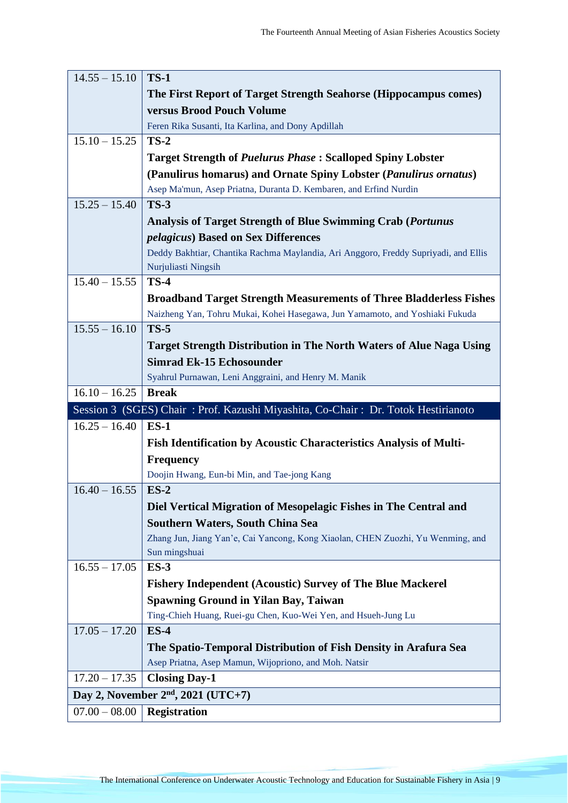| $14.55 - 15.10$ | <b>TS-1</b>                                                                                                              |
|-----------------|--------------------------------------------------------------------------------------------------------------------------|
|                 | The First Report of Target Strength Seahorse (Hippocampus comes)                                                         |
|                 | versus Brood Pouch Volume                                                                                                |
|                 | Feren Rika Susanti, Ita Karlina, and Dony Apdillah                                                                       |
| $15.10 - 15.25$ | $TS-2$                                                                                                                   |
|                 | <b>Target Strength of Puelurus Phase: Scalloped Spiny Lobster</b>                                                        |
|                 | (Panulirus homarus) and Ornate Spiny Lobster (Panulirus ornatus)                                                         |
|                 | Asep Ma'mun, Asep Priatna, Duranta D. Kembaren, and Erfind Nurdin                                                        |
| $15.25 - 15.40$ | <b>TS-3</b>                                                                                                              |
|                 | <b>Analysis of Target Strength of Blue Swimming Crab (Portunus</b>                                                       |
|                 | <i>pelagicus</i> ) Based on Sex Differences                                                                              |
|                 | Deddy Bakhtiar, Chantika Rachma Maylandia, Ari Anggoro, Freddy Supriyadi, and Ellis                                      |
|                 | Nurjuliasti Ningsih                                                                                                      |
| $15.40 - 15.55$ | $TS-4$                                                                                                                   |
|                 | <b>Broadband Target Strength Measurements of Three Bladderless Fishes</b>                                                |
|                 | Naizheng Yan, Tohru Mukai, Kohei Hasegawa, Jun Yamamoto, and Yoshiaki Fukuda                                             |
| $15.55 - 16.10$ | $TS-5$                                                                                                                   |
|                 | <b>Target Strength Distribution in The North Waters of Alue Naga Using</b>                                               |
|                 | <b>Simrad Ek-15 Echosounder</b>                                                                                          |
|                 | Syahrul Purnawan, Leni Anggraini, and Henry M. Manik                                                                     |
| $16.10 - 16.25$ | <b>Break</b>                                                                                                             |
|                 | Session 3 (SGES) Chair: Prof. Kazushi Miyashita, Co-Chair: Dr. Totok Hestirianoto                                        |
| $16.25 - 16.40$ | $ES-1$                                                                                                                   |
|                 |                                                                                                                          |
|                 | Fish Identification by Acoustic Characteristics Analysis of Multi-                                                       |
|                 | <b>Frequency</b>                                                                                                         |
|                 | Doojin Hwang, Eun-bi Min, and Tae-jong Kang                                                                              |
| $16.40 - 16.55$ | $ES-2$                                                                                                                   |
|                 | Diel Vertical Migration of Mesopelagic Fishes in The Central and                                                         |
|                 | <b>Southern Waters, South China Sea</b>                                                                                  |
|                 | Zhang Jun, Jiang Yan'e, Cai Yancong, Kong Xiaolan, CHEN Zuozhi, Yu Wenming, and                                          |
|                 | Sun mingshuai                                                                                                            |
| $16.55 - 17.05$ | $ES-3$                                                                                                                   |
|                 | <b>Fishery Independent (Acoustic) Survey of The Blue Mackerel</b>                                                        |
|                 | <b>Spawning Ground in Yilan Bay, Taiwan</b>                                                                              |
|                 | Ting-Chieh Huang, Ruei-gu Chen, Kuo-Wei Yen, and Hsueh-Jung Lu<br>$ES-4$                                                 |
| $17.05 - 17.20$ |                                                                                                                          |
|                 | The Spatio-Temporal Distribution of Fish Density in Arafura Sea<br>Asep Priatna, Asep Mamun, Wijopriono, and Moh. Natsir |
| $17.20 - 17.35$ | <b>Closing Day-1</b>                                                                                                     |
|                 | Day 2, November $2nd$ , 2021 (UTC+7)                                                                                     |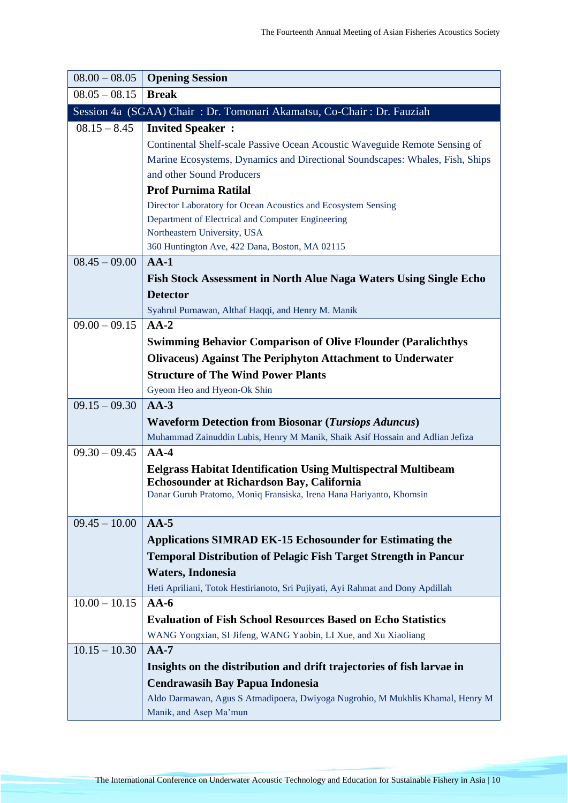| $08.00 - 08.05$ | <b>Opening Session</b>                                                            |
|-----------------|-----------------------------------------------------------------------------------|
| $08.05 - 08.15$ | <b>Break</b>                                                                      |
|                 | Session 4a (SGAA) Chair: Dr. Tomonari Akamatsu, Co-Chair: Dr. Fauziah             |
| $08.15 - 8.45$  | <b>Invited Speaker:</b>                                                           |
|                 | Continental Shelf-scale Passive Ocean Acoustic Waveguide Remote Sensing of        |
|                 | Marine Ecosystems, Dynamics and Directional Soundscapes: Whales, Fish, Ships      |
|                 | and other Sound Producers                                                         |
|                 | <b>Prof Purnima Ratilal</b>                                                       |
|                 | Director Laboratory for Ocean Acoustics and Ecosystem Sensing                     |
|                 | Department of Electrical and Computer Engineering<br>Northeastern University, USA |
|                 | 360 Huntington Ave, 422 Dana, Boston, MA 02115                                    |
| $08.45 - 09.00$ | $AA-1$                                                                            |
|                 | <b>Fish Stock Assessment in North Alue Naga Waters Using Single Echo</b>          |
|                 | <b>Detector</b>                                                                   |
|                 | Syahrul Purnawan, Althaf Haqqi, and Henry M. Manik                                |
| $09.00 - 09.15$ | $AA-2$                                                                            |
|                 | <b>Swimming Behavior Comparison of Olive Flounder (Paralichthys</b>               |
|                 | <b>Olivaceus) Against The Periphyton Attachment to Underwater</b>                 |
|                 | <b>Structure of The Wind Power Plants</b>                                         |
|                 | Gyeom Heo and Hyeon-Ok Shin                                                       |
| $09.15 - 09.30$ | $AA-3$                                                                            |
|                 | <b>Waveform Detection from Biosonar (Tursiops Aduncus)</b>                        |
|                 | Muhammad Zainuddin Lubis, Henry M Manik, Shaik Asif Hossain and Adlian Jefiza     |
| $09.30 - 09.45$ | $AA-4$                                                                            |
|                 | <b>Eelgrass Habitat Identification Using Multispectral Multibeam</b>              |
|                 | Echosounder at Richardson Bay, California                                         |
|                 | Danar Guruh Pratomo, Moniq Fransiska, Irena Hana Hariyanto, Khomsin               |
| $09.45 - 10.00$ | $AA-5$                                                                            |
|                 | <b>Applications SIMRAD EK-15 Echosounder for Estimating the</b>                   |
|                 | <b>Temporal Distribution of Pelagic Fish Target Strength in Pancur</b>            |
|                 | <b>Waters, Indonesia</b>                                                          |
|                 | Heti Apriliani, Totok Hestirianoto, Sri Pujiyati, Ayi Rahmat and Dony Apdillah    |
| $10.00 - 10.15$ | $AA-6$                                                                            |
|                 | <b>Evaluation of Fish School Resources Based on Echo Statistics</b>               |
|                 | WANG Yongxian, SI Jifeng, WANG Yaobin, LI Xue, and Xu Xiaoliang                   |
| $10.15 - 10.30$ | $AA-7$                                                                            |
|                 | Insights on the distribution and drift trajectories of fish larvae in             |
|                 | <b>Cendrawasih Bay Papua Indonesia</b>                                            |
|                 | Aldo Darmawan, Agus S Atmadipoera, Dwiyoga Nugrohio, M Mukhlis Khamal, Henry M    |
|                 | Manik, and Asep Ma'mun                                                            |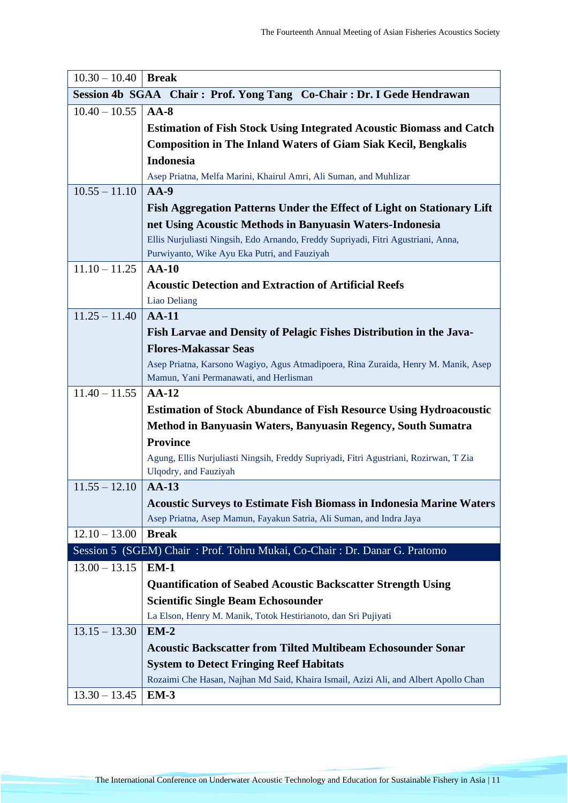| $10.30 - 10.40$ | <b>Break</b>                                                                                  |
|-----------------|-----------------------------------------------------------------------------------------------|
|                 | Session 4b SGAA Chair: Prof. Yong Tang Co-Chair: Dr. I Gede Hendrawan                         |
| $10.40 - 10.55$ | $AA-8$                                                                                        |
|                 | <b>Estimation of Fish Stock Using Integrated Acoustic Biomass and Catch</b>                   |
|                 | <b>Composition in The Inland Waters of Giam Siak Kecil, Bengkalis</b>                         |
|                 | <b>Indonesia</b>                                                                              |
|                 | Asep Priatna, Melfa Marini, Khairul Amri, Ali Suman, and Muhlizar                             |
| $10.55 - 11.10$ | $AA-9$                                                                                        |
|                 | Fish Aggregation Patterns Under the Effect of Light on Stationary Lift                        |
|                 | net Using Acoustic Methods in Banyuasin Waters-Indonesia                                      |
|                 | Ellis Nurjuliasti Ningsih, Edo Arnando, Freddy Supriyadi, Fitri Agustriani, Anna,             |
|                 | Purwiyanto, Wike Ayu Eka Putri, and Fauziyah                                                  |
| $11.10 - 11.25$ | $AA-10$                                                                                       |
|                 | <b>Acoustic Detection and Extraction of Artificial Reefs</b>                                  |
|                 | Liao Deliang                                                                                  |
| $11.25 - 11.40$ | $AA-11$                                                                                       |
|                 | Fish Larvae and Density of Pelagic Fishes Distribution in the Java-                           |
|                 | <b>Flores-Makassar Seas</b>                                                                   |
|                 | Asep Priatna, Karsono Wagiyo, Agus Atmadipoera, Rina Zuraida, Henry M. Manik, Asep            |
|                 | Mamun, Yani Permanawati, and Herlisman                                                        |
| $11.40 - 11.55$ | $AA-12$                                                                                       |
|                 | <b>Estimation of Stock Abundance of Fish Resource Using Hydroacoustic</b>                     |
|                 | Method in Banyuasin Waters, Banyuasin Regency, South Sumatra                                  |
|                 | <b>Province</b>                                                                               |
|                 | Agung, Ellis Nurjuliasti Ningsih, Freddy Supriyadi, Fitri Agustriani, Rozirwan, T Zia         |
|                 | Ulqodry, and Fauziyah                                                                         |
| $11.55 - 12.10$ | $AA-13$                                                                                       |
|                 | <b>Acoustic Surveys to Estimate Fish Biomass in Indonesia Marine Waters</b>                   |
| $12.10 - 13.00$ | Asep Priatna, Asep Mamun, Fayakun Satria, Ali Suman, and Indra Jaya<br><b>Break</b>           |
|                 |                                                                                               |
| $13.00 - 13.15$ | Session 5 (SGEM) Chair: Prof. Tohru Mukai, Co-Chair: Dr. Danar G. Pratomo<br>$EM-1$           |
|                 |                                                                                               |
|                 | <b>Quantification of Seabed Acoustic Backscatter Strength Using</b>                           |
|                 | <b>Scientific Single Beam Echosounder</b>                                                     |
| $13.15 - 13.30$ | La Elson, Henry M. Manik, Totok Hestirianoto, dan Sri Pujiyati<br>$EM-2$                      |
|                 | <b>Acoustic Backscatter from Tilted Multibeam Echosounder Sonar</b>                           |
|                 |                                                                                               |
|                 | <b>System to Detect Fringing Reef Habitats</b>                                                |
| $13.30 - 13.45$ | Rozaimi Che Hasan, Najhan Md Said, Khaira Ismail, Azizi Ali, and Albert Apollo Chan<br>$EM-3$ |
|                 |                                                                                               |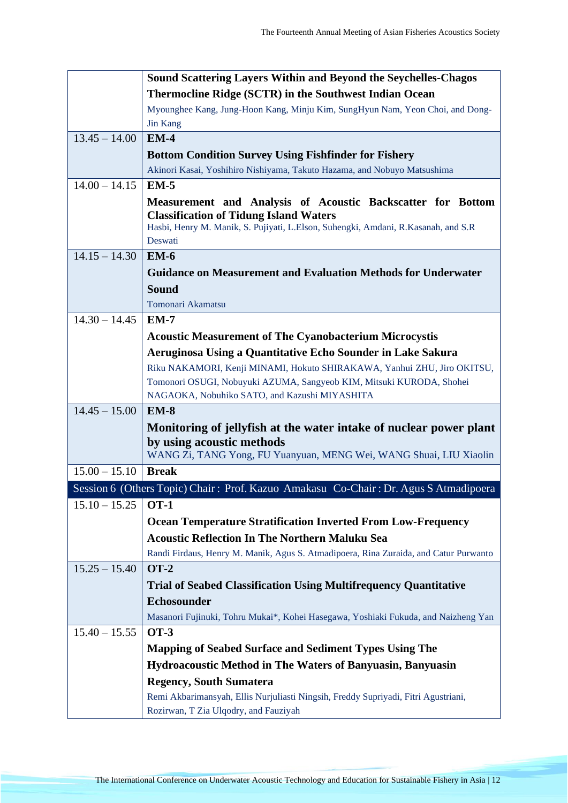|                 | Sound Scattering Layers Within and Beyond the Seychelles-Chagos                                                                    |
|-----------------|------------------------------------------------------------------------------------------------------------------------------------|
|                 | Thermocline Ridge (SCTR) in the Southwest Indian Ocean                                                                             |
|                 | Myounghee Kang, Jung-Hoon Kang, Minju Kim, SungHyun Nam, Yeon Choi, and Dong-                                                      |
|                 | <b>Jin Kang</b>                                                                                                                    |
| $13.45 - 14.00$ | $EM-4$                                                                                                                             |
|                 | <b>Bottom Condition Survey Using Fishfinder for Fishery</b>                                                                        |
|                 | Akinori Kasai, Yoshihiro Nishiyama, Takuto Hazama, and Nobuyo Matsushima                                                           |
| $14.00 - 14.15$ | $EM-5$                                                                                                                             |
|                 | Measurement and Analysis of Acoustic Backscatter for Bottom                                                                        |
|                 | <b>Classification of Tidung Island Waters</b><br>Hasbi, Henry M. Manik, S. Pujiyati, L.Elson, Suhengki, Amdani, R.Kasanah, and S.R |
|                 | Deswati                                                                                                                            |
| $14.15 - 14.30$ | $EM-6$                                                                                                                             |
|                 | <b>Guidance on Measurement and Evaluation Methods for Underwater</b>                                                               |
|                 | <b>Sound</b>                                                                                                                       |
|                 | Tomonari Akamatsu                                                                                                                  |
| $14.30 - 14.45$ | $EM-7$                                                                                                                             |
|                 | <b>Acoustic Measurement of The Cyanobacterium Microcystis</b>                                                                      |
|                 | Aeruginosa Using a Quantitative Echo Sounder in Lake Sakura                                                                        |
|                 | Riku NAKAMORI, Kenji MINAMI, Hokuto SHIRAKAWA, Yanhui ZHU, Jiro OKITSU,                                                            |
|                 | Tomonori OSUGI, Nobuyuki AZUMA, Sangyeob KIM, Mitsuki KURODA, Shohei                                                               |
|                 | NAGAOKA, Nobuhiko SATO, and Kazushi MIYASHITA                                                                                      |
| $14.45 - 15.00$ | $EM-8$                                                                                                                             |
|                 | Monitoring of jellyfish at the water intake of nuclear power plant                                                                 |
|                 | by using acoustic methods                                                                                                          |
|                 | WANG Zi, TANG Yong, FU Yuanyuan, MENG Wei, WANG Shuai, LIU Xiaolin                                                                 |
| $15.00 - 15.10$ | <b>Break</b>                                                                                                                       |
|                 | Session 6 (Others Topic) Chair: Prof. Kazuo Amakasu Co-Chair: Dr. Agus S Atmadipoera                                               |
| $15.10 - 15.25$ | <b>OT-1</b>                                                                                                                        |
|                 | <b>Ocean Temperature Stratification Inverted From Low-Frequency</b>                                                                |
|                 | <b>Acoustic Reflection In The Northern Maluku Sea</b>                                                                              |
|                 | Randi Firdaus, Henry M. Manik, Agus S. Atmadipoera, Rina Zuraida, and Catur Purwanto                                               |
| $15.25 - 15.40$ | <b>OT-2</b>                                                                                                                        |
|                 | <b>Trial of Seabed Classification Using Multifrequency Quantitative</b>                                                            |
|                 | Echosounder                                                                                                                        |
|                 | Masanori Fujinuki, Tohru Mukai*, Kohei Hasegawa, Yoshiaki Fukuda, and Naizheng Yan                                                 |
| $15.40 - 15.55$ | <b>OT-3</b>                                                                                                                        |
|                 | <b>Mapping of Seabed Surface and Sediment Types Using The</b>                                                                      |
|                 | <b>Hydroacoustic Method in The Waters of Banyuasin, Banyuasin</b>                                                                  |
|                 | <b>Regency, South Sumatera</b>                                                                                                     |
|                 | Remi Akbarimansyah, Ellis Nurjuliasti Ningsih, Freddy Supriyadi, Fitri Agustriani,                                                 |
|                 | Rozirwan, T Zia Ulqodry, and Fauziyah                                                                                              |